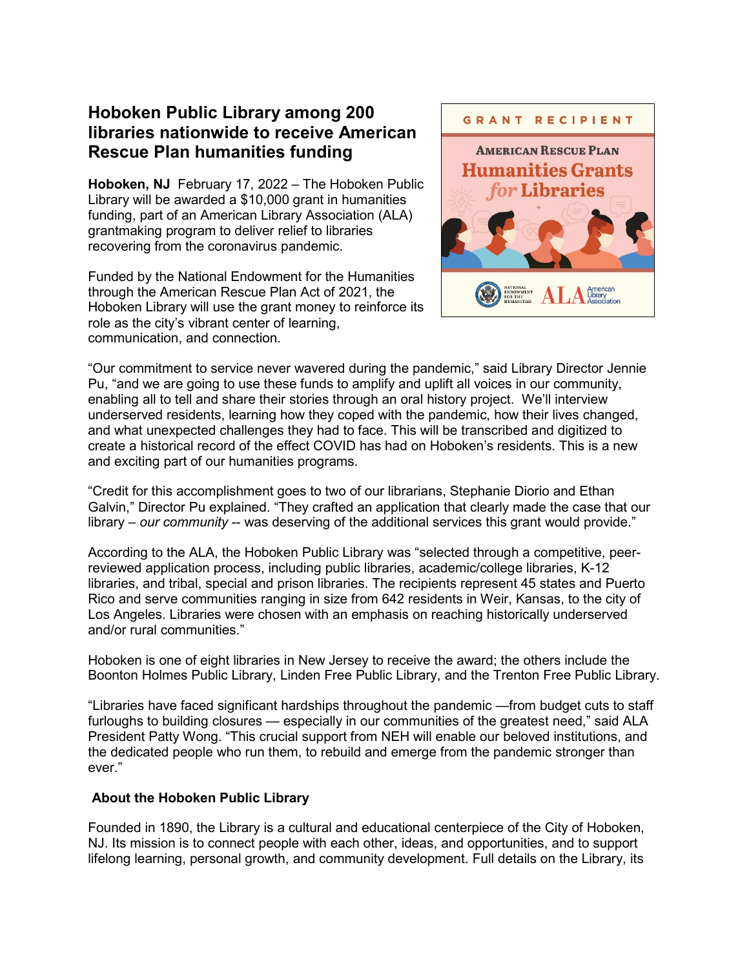# **Hoboken Public Library among 200 libraries nationwide to receive American Rescue Plan humanities funding**

**Hoboken, NJ** February 17, 2022 – The Hoboken Public Library will be awarded a \$10,000 grant in humanities funding, part of an American Library Association (ALA) grantmaking program to deliver relief to libraries recovering from the coronavirus pandemic.

Funded by the National Endowment for the Humanities through the American Rescue Plan Act of 2021, the Hoboken Library will use the grant money to reinforce its role as the city's vibrant center of learning, communication, and connection.



"Our commitment to service never wavered during the pandemic," said Library Director Jennie Pu, "and we are going to use these funds to amplify and uplift all voices in our community, enabling all to tell and share their stories through an oral history project. We'll interview underserved residents, learning how they coped with the pandemic, how their lives changed, and what unexpected challenges they had to face. This will be transcribed and digitized to create a historical record of the effect COVID has had on Hoboken's residents. This is a new and exciting part of our humanities programs.

"Credit for this accomplishment goes to two of our librarians, Stephanie Diorio and Ethan Galvin," Director Pu explained. "They crafted an application that clearly made the case that our library – *our community* -- was deserving of the additional services this grant would provide."

According to the ALA, the Hoboken Public Library was "selected through a competitive, peerreviewed application process, including public libraries, academic/college libraries, K-12 libraries, and tribal, special and prison libraries. The recipients represent 45 states and Puerto Rico and serve communities ranging in size from 642 residents in Weir, Kansas, to the city of Los Angeles. Libraries were chosen with an emphasis on reaching historically underserved and/or rural communities."

Hoboken is one of eight libraries in New Jersey to receive the award; the others include the Boonton Holmes Public Library, Linden Free Public Library, and the Trenton Free Public Library.

"Libraries have faced significant hardships throughout the pandemic —from budget cuts to staff furloughs to building closures — especially in our communities of the greatest need," said ALA President Patty Wong. "This crucial support from NEH will enable our beloved institutions, and the dedicated people who run them, to rebuild and emerge from the pandemic stronger than ever."

#### **About the Hoboken Public Library**

Founded in 1890, the Library is a cultural and educational centerpiece of the City of Hoboken, NJ. Its mission is to connect people with each other, ideas, and opportunities, and to support lifelong learning, personal growth, and community development. Full details on the Library, its